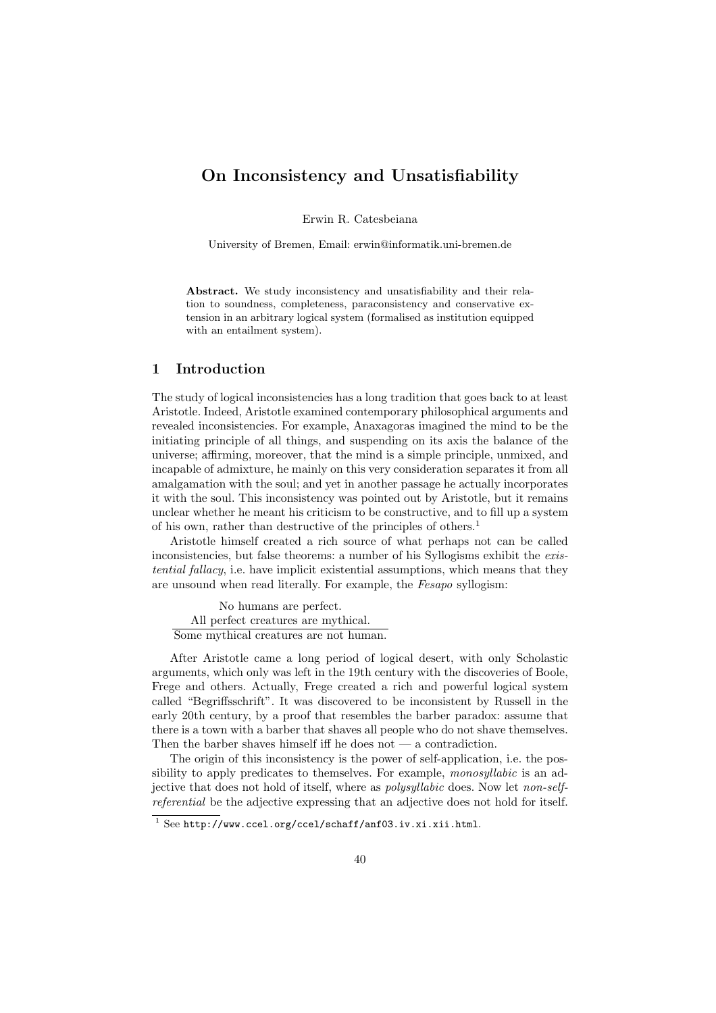# On Inconsistency and Unsatisfiability

Erwin R. Catesbeiana

University of Bremen, Email: erwin@informatik.uni-bremen.de

Abstract. We study inconsistency and unsatisfiability and their relation to soundness, completeness, paraconsistency and conservative extension in an arbitrary logical system (formalised as institution equipped with an entailment system).

### 1 Introduction

The study of logical inconsistencies has a long tradition that goes back to at least Aristotle. Indeed, Aristotle examined contemporary philosophical arguments and revealed inconsistencies. For example, Anaxagoras imagined the mind to be the initiating principle of all things, and suspending on its axis the balance of the universe; affirming, moreover, that the mind is a simple principle, unmixed, and incapable of admixture, he mainly on this very consideration separates it from all amalgamation with the soul; and yet in another passage he actually incorporates it with the soul. This inconsistency was pointed out by Aristotle, but it remains unclear whether he meant his criticism to be constructive, and to fill up a system of his own, rather than destructive of the principles of others.<sup>1</sup>

Aristotle himself created a rich source of what perhaps not can be called inconsistencies, but false theorems: a number of his Syllogisms exhibit the existential fallacy, i.e. have implicit existential assumptions, which means that they are unsound when read literally. For example, the Fesapo syllogism:

No humans are perfect. All perfect creatures are mythical. Some mythical creatures are not human.

After Aristotle came a long period of logical desert, with only Scholastic arguments, which only was left in the 19th century with the discoveries of Boole, Frege and others. Actually, Frege created a rich and powerful logical system called "Begriffsschrift". It was discovered to be inconsistent by Russell in the early 20th century, by a proof that resembles the barber paradox: assume that there is a town with a barber that shaves all people who do not shave themselves. Then the barber shaves himself iff he does not  $-$  a contradiction.

The origin of this inconsistency is the power of self-application, i.e. the possibility to apply predicates to themselves. For example, *monosyllabic* is an adjective that does not hold of itself, where as polysyllabic does. Now let non-selfreferential be the adjective expressing that an adjective does not hold for itself.

 $\frac{1}{1}$  See http://www.ccel.org/ccel/schaff/anf03.iv.xi.xii.html.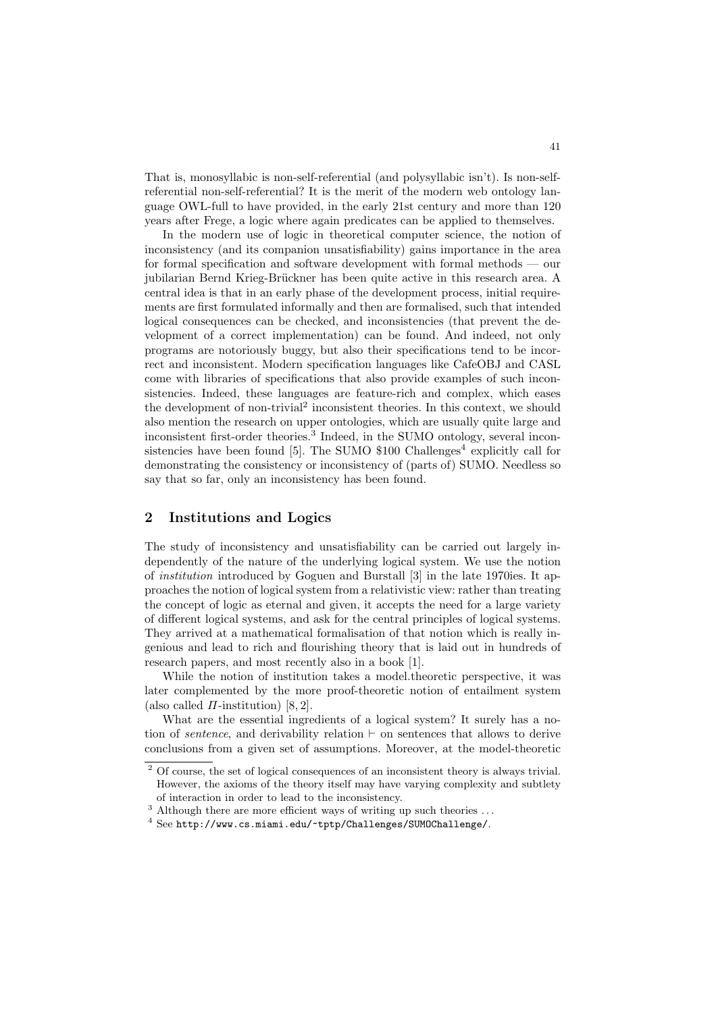That is, monosyllabic is non-self-referential (and polysyllabic isn't). Is non-selfreferential non-self-referential? It is the merit of the modern web ontology language OWL-full to have provided, in the early 21st century and more than 120 years after Frege, a logic where again predicates can be applied to themselves.

In the modern use of logic in theoretical computer science, the notion of inconsistency (and its companion unsatisfiability) gains importance in the area for formal specification and software development with formal methods — our jubilarian Bernd Krieg-Brückner has been quite active in this research area. A central idea is that in an early phase of the development process, initial requirements are first formulated informally and then are formalised, such that intended logical consequences can be checked, and inconsistencies (that prevent the development of a correct implementation) can be found. And indeed, not only programs are notoriously buggy, but also their specifications tend to be incorrect and inconsistent. Modern specification languages like CafeOBJ and CASL come with libraries of specifications that also provide examples of such inconsistencies. Indeed, these languages are feature-rich and complex, which eases the development of non-trivial<sup>2</sup> inconsistent theories. In this context, we should also mention the research on upper ontologies, which are usually quite large and inconsistent first-order theories.<sup>3</sup> Indeed, in the SUMO ontology, several inconsistencies have been found  $[5]$ . The SUMO \$100 Challenges<sup>4</sup> explicitly call for demonstrating the consistency or inconsistency of (parts of) SUMO. Needless so say that so far, only an inconsistency has been found.

## 2 Institutions and Logics

The study of inconsistency and unsatisfiability can be carried out largely independently of the nature of the underlying logical system. We use the notion of institution introduced by Goguen and Burstall [3] in the late 1970ies. It approaches the notion of logical system from a relativistic view: rather than treating the concept of logic as eternal and given, it accepts the need for a large variety of different logical systems, and ask for the central principles of logical systems. They arrived at a mathematical formalisation of that notion which is really ingenious and lead to rich and flourishing theory that is laid out in hundreds of research papers, and most recently also in a book [1].

While the notion of institution takes a model.theoretic perspective, it was later complemented by the more proof-theoretic notion of entailment system (also called  $\Pi$ -institution) [8, 2].

What are the essential ingredients of a logical system? It surely has a notion of *sentence*, and derivability relation  $\vdash$  on sentences that allows to derive conclusions from a given set of assumptions. Moreover, at the model-theoretic

<sup>&</sup>lt;sup>2</sup> Of course, the set of logical consequences of an inconsistent theory is always trivial. However, the axioms of the theory itself may have varying complexity and subtlety of interaction in order to lead to the inconsistency.

 $^3$  Although there are more efficient ways of writing up such theories  $\ldots$ 

<sup>4</sup> See http://www.cs.miami.edu/~tptp/Challenges/SUMOChallenge/.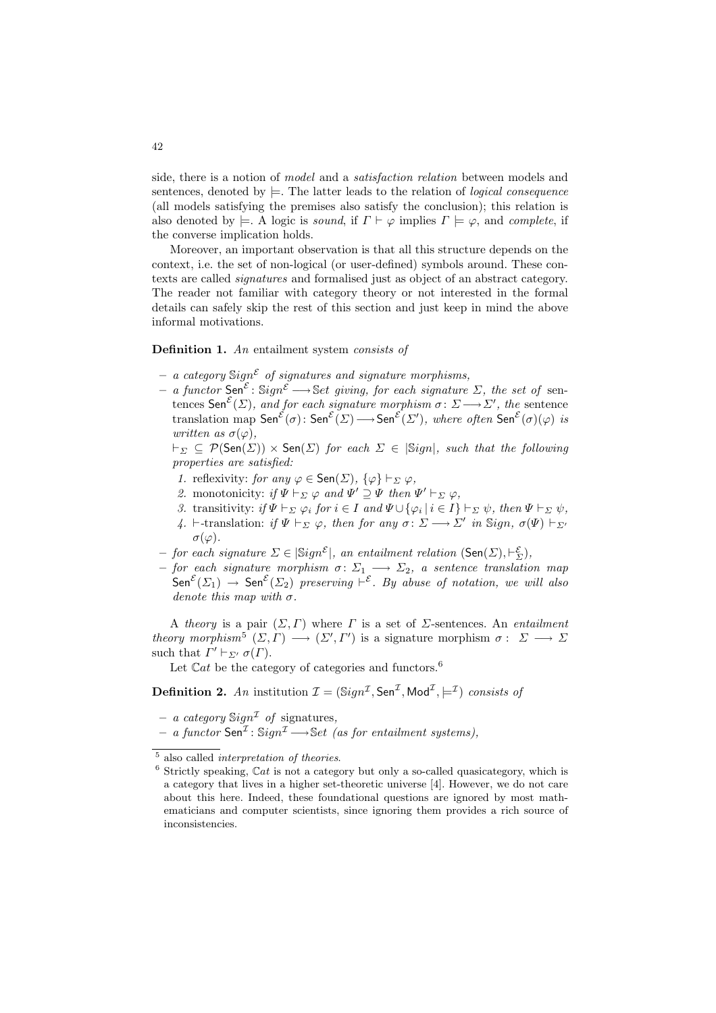side, there is a notion of model and a satisfaction relation between models and sentences, denoted by  $\models$ . The latter leads to the relation of *logical consequence* (all models satisfying the premises also satisfy the conclusion); this relation is also denoted by  $\models$ . A logic is sound, if  $\Gamma \vdash \varphi$  implies  $\Gamma \models \varphi$ , and complete, if the converse implication holds.

Moreover, an important observation is that all this structure depends on the context, i.e. the set of non-logical (or user-defined) symbols around. These contexts are called signatures and formalised just as object of an abstract category. The reader not familiar with category theory or not interested in the formal details can safely skip the rest of this section and just keep in mind the above informal motivations.

#### Definition 1. An entailment system consists of

- a category  $\text{Sign}^{\mathcal{E}}$  of signatures and signature morphisms,
- $a$  functor Sen<sup>ε</sup>: Sign<sup>ε</sup> → Set giving, for each signature Σ, the set of sentences Sen<sup>ε</sup>( $\Sigma$ ), and for each signature morphism  $\sigma: \Sigma \longrightarrow \Sigma'$ , the sentence translation map  $\mathsf{Sen}^{\mathcal{E}}(\sigma) \colon \mathsf{Sen}^{\mathcal{E}}(\Sigma) \longrightarrow \mathsf{Sen}^{\mathcal{E}}(\Sigma')$ , where often  $\mathsf{Sen}^{\mathcal{E}}(\sigma)(\varphi)$  is written as  $\sigma(\varphi)$ ,

 $\vdash_{\Sigma} \subseteq \mathcal{P}(\mathsf{Sen}(\Sigma)) \times \mathsf{Sen}(\Sigma)$  for each  $\Sigma \in |\mathsf{Sign}|$ , such that the following properties are satisfied:

- $\label{eq:1} \textit{1. reflexivity:} \textit{ for any } \varphi \in \mathsf{Sen}(\varSigma), \ \{\varphi\} \vdash_{\varSigma} \varphi,$
- 2. monotonicity: if  $\Psi \vdash_{\Sigma} \varphi$  and  $\Psi' \supseteq \Psi$  then  $\Psi' \vdash_{\Sigma} \varphi$ ,
- 3. transitivity: if  $\Psi \vdash_{\Sigma} \varphi_i$  for  $i \in I$  and  $\Psi \cup {\varphi_i \mid i \in I} \vdash_{\Sigma} \psi$ , then  $\Psi \vdash_{\Sigma} \psi$ ,
- 4.  $\vdash$ -translation: if  $\Psi \vdash_{\Sigma} \varphi$ , then for any  $\sigma \colon \Sigma \longrightarrow \Sigma'$  in Sign,  $\sigma(\Psi) \vdash_{\Sigma'}$  $\sigma(\varphi)$ .
- $-$  for each signature  $\Sigma \in |\mathrm{Sign}^{\mathcal{E}}|$ , an entailment relation  $(\mathsf{Sen}(\Sigma), \vdash_{\Sigma}^{\mathcal{E}})$ ,
- $-$  for each signature morphism  $\sigma \colon \Sigma_1 \longrightarrow \Sigma_2$ , a sentence translation map  $\mathsf{Sen}^{\mathcal{E}}(\Sigma_1) \to \mathsf{Sen}^{\mathcal{E}}(\Sigma_2)$  preserving  $\vdash^{\mathcal{E}}$ . By abuse of notation, we will also denote this map with  $\sigma$ .

A theory is a pair  $(\Sigma, \Gamma)$  where  $\Gamma$  is a set of  $\Sigma$ -sentences. An *entailment* theory morphism<sup>5</sup>  $(\Sigma, \Gamma) \longrightarrow (\Sigma', \Gamma')$  is a signature morphism  $\sigma : \Sigma \longrightarrow \Sigma$ such that  $\Gamma' \vdash_{\Sigma'} \sigma(\Gamma)$ .

Let  $\mathbb{C}at$  be the category of categories and functors.<sup>6</sup>

**Definition 2.** An institution  $\mathcal{I} = (\text{Sign}^{\mathcal{I}}, \text{Sen}^{\mathcal{I}}, \text{Mod}^{\mathcal{I}}, \models^{\mathcal{I}})$  consists of

- a category  $\mathbb{S}ign^{\mathcal{I}}$  of signatures,
- $-$  a functor Sen<sup>1</sup> : Sign<sup>1</sup> → Set (as for entailment systems),

 $6$  Strictly speaking,  $Cat$  is not a category but only a so-called quasicategory, which is a category that lives in a higher set-theoretic universe [4]. However, we do not care about this here. Indeed, these foundational questions are ignored by most mathematicians and computer scientists, since ignoring them provides a rich source of inconsistencies.

<sup>5</sup> also called *interpretation of theories*.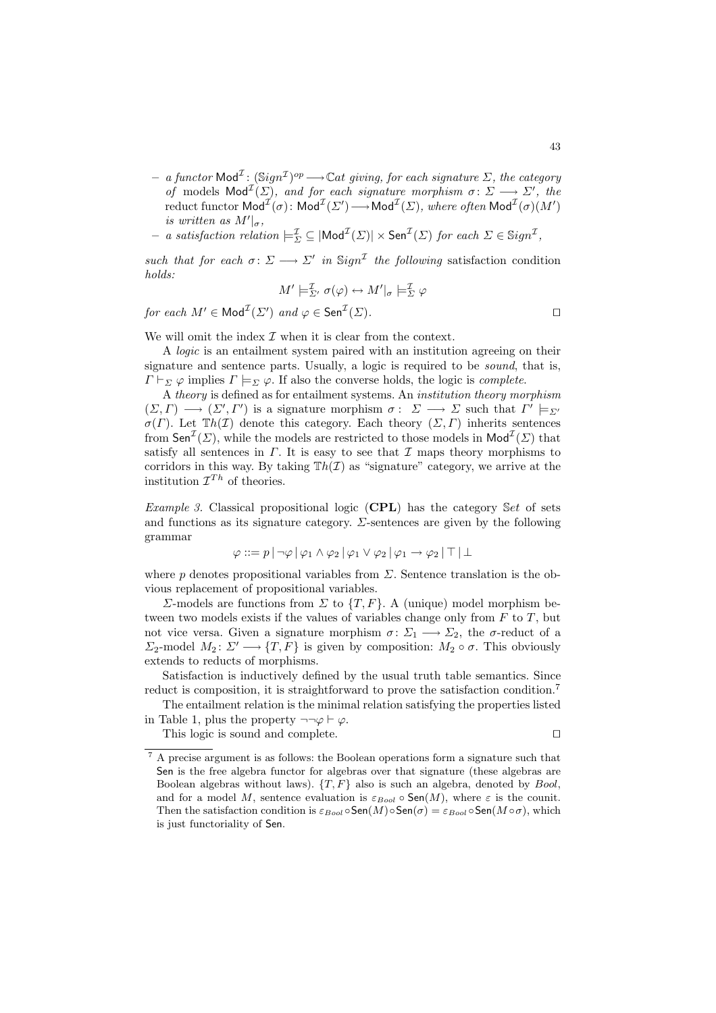- $-$  a functor Mod<sup>T</sup>: (Sign<sup>T</sup>)<sup>op</sup> → Cat giving, for each signature Σ, the category of models  $\text{Mod}^{\perp}(\Sigma)$ , and for each signature morphism  $\sigma: \Sigma \longrightarrow \Sigma'$ , the reduct functor  $\mathsf{Mod}^{\mathcal{I}}(\sigma)$ :  $\mathsf{Mod}^{\mathcal{I}}(\Sigma') \longrightarrow \mathsf{Mod}^{\mathcal{I}}(\Sigma)$ , where often  $\mathsf{Mod}^{\mathcal{I}}(\sigma)(M')$ is written as  $M'|_{\sigma}$ ,
- $-$  a satisfaction relation  $\models_{\Sigma}^{\mathcal{I}} \subseteq |\mathsf{Mod}^{\mathcal{I}}(\Sigma)| \times \mathsf{Sen}^{\mathcal{I}}(\Sigma)$  for each  $\Sigma \in \mathsf{Sign}^{\mathcal{I}}$ ,

such that for each  $\sigma: \Sigma \longrightarrow \Sigma'$  in Sign<sup>T</sup> the following satisfaction condition holds:

$$
M' \models_{\Sigma'}^{\mathcal{I}} \sigma(\varphi) \leftrightarrow M' \vert_{\sigma} \models_{\Sigma}^{\mathcal{I}} \varphi
$$

for each  $M' \in \text{Mod}^{\perp}(\Sigma')$  and  $\varphi \in \text{Sen}^{\perp}(\Sigma)$ .

We will omit the index  $\mathcal I$  when it is clear from the context.

A logic is an entailment system paired with an institution agreeing on their signature and sentence parts. Usually, a logic is required to be sound, that is,  $\Gamma \vdash_{\Sigma} \varphi$  implies  $\Gamma \models_{\Sigma} \varphi$ . If also the converse holds, the logic is *complete*.

A theory is defined as for entailment systems. An institution theory morphism  $(\Sigma,\Gamma) \longrightarrow (\Sigma',\Gamma')$  is a signature morphism  $\sigma: \Sigma \longrightarrow \Sigma$  such that  $\Gamma' \models_{\Sigma'}$  $\sigma(\Gamma)$ . Let  $\mathbb{T}h(\mathcal{I})$  denote this category. Each theory  $(\Sigma, \Gamma)$  inherits sentences from  $\mathsf{Sen}^{\mathcal{I}}(\Sigma)$ , while the models are restricted to those models in  $\mathsf{Mod}^{\mathcal{I}}(\Sigma)$  that satisfy all sentences in  $\Gamma$ . It is easy to see that  $\mathcal I$  maps theory morphisms to corridors in this way. By taking  $Th(\mathcal{I})$  as "signature" category, we arrive at the institution  $\mathcal{I}^{Th}$  of theories.

*Example 3.* Classical propositional logic (CPL) has the category Set of sets and functions as its signature category.  $\Sigma$ -sentences are given by the following grammar

$$
\varphi ::= p | \neg \varphi | \varphi_1 \wedge \varphi_2 | \varphi_1 \vee \varphi_2 | \varphi_1 \rightarrow \varphi_2 | \top | \bot
$$

where p denotes propositional variables from  $\Sigma$ . Sentence translation is the obvious replacement of propositional variables.

 $\Sigma$ -models are functions from  $\Sigma$  to  $\{T, F\}$ . A (unique) model morphism between two models exists if the values of variables change only from  $F$  to  $T$ , but not vice versa. Given a signature morphism  $\sigma: \Sigma_1 \longrightarrow \Sigma_2$ , the  $\sigma$ -reduct of a  $\Sigma_2$ -model  $M_2: \Sigma' \longrightarrow \{T, F\}$  is given by composition:  $M_2 \circ \sigma$ . This obviously extends to reducts of morphisms.

Satisfaction is inductively defined by the usual truth table semantics. Since reduct is composition, it is straightforward to prove the satisfaction condition.<sup>7</sup>

The entailment relation is the minimal relation satisfying the properties listed in Table 1, plus the property  $\neg\neg\varphi \vdash \varphi$ .

This logic is sound and complete.  $\Box$ 

43

<sup>7</sup> A precise argument is as follows: the Boolean operations form a signature such that Sen is the free algebra functor for algebras over that signature (these algebras are Boolean algebras without laws).  $\{T, F\}$  also is such an algebra, denoted by Bool, and for a model M, sentence evaluation is  $\varepsilon_{Bool} \circ \mathsf{Sen}(M)$ , where  $\varepsilon$  is the counit. Then the satisfaction condition is  $\varepsilon_{Bool} \circ \mathsf{Sen}(M) \circ \mathsf{Sen}(\sigma) = \varepsilon_{Bool} \circ \mathsf{Sen}(M \circ \sigma)$ , which is just functoriality of Sen.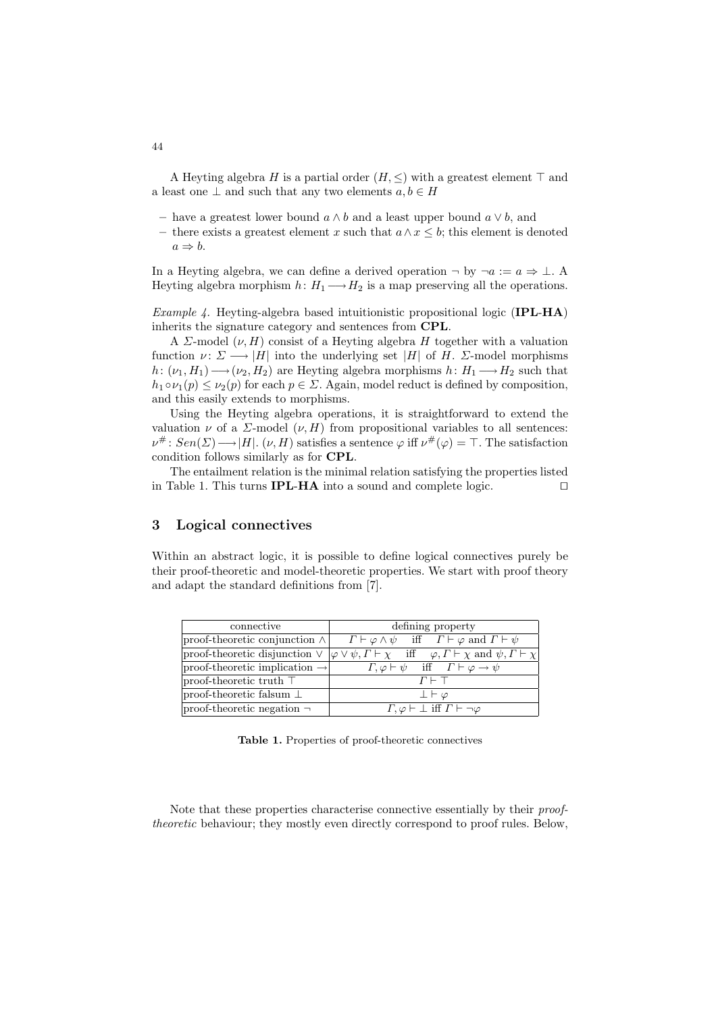A Heyting algebra H is a partial order  $(H, \leq)$  with a greatest element  $\top$  and a least one  $\perp$  and such that any two elements  $a, b \in H$ 

- have a greatest lower bound a ∧ b and a least upper bound a ∨ b, and
- there exists a greatest element x such that a∧x ≤ b; this element is denoted  $a \Rightarrow b$ .

In a Heyting algebra, we can define a derived operation  $\neg$  by  $\neg a := a \Rightarrow \bot$ . Heyting algebra morphism  $h: H_1 \longrightarrow H_2$  is a map preserving all the operations.

*Example 4.* Heyting-algebra based intuitionistic propositional logic (IPL-HA) inherits the signature category and sentences from CPL.

A  $\Sigma$ -model  $(\nu, H)$  consist of a Heyting algebra H together with a valuation function  $\nu: \Sigma \longrightarrow |H|$  into the underlying set |H| of H.  $\Sigma$ -model morphisms h:  $(\nu_1, H_1) \longrightarrow (\nu_2, H_2)$  are Heyting algebra morphisms  $h: H_1 \longrightarrow H_2$  such that  $h_1 \circ \nu_1(p) \leq \nu_2(p)$  for each  $p \in \Sigma$ . Again, model reduct is defined by composition, and this easily extends to morphisms.

Using the Heyting algebra operations, it is straightforward to extend the valuation  $\nu$  of a  $\Sigma$ -model  $(\nu, H)$  from propositional variables to all sentences:  $\nu^{\#}$ :  $Sen(\Sigma) \longrightarrow |H|$ .  $(\nu, H)$  satisfies a sentence  $\varphi$  iff  $\nu^{\#}(\varphi) = \top$ . The satisfaction condition follows similarly as for CPL.

The entailment relation is the minimal relation satisfying the properties listed in Table 1. This turns **IPL-HA** into a sound and complete logic.  $\Box$ 

# 3 Logical connectives

Within an abstract logic, it is possible to define logical connectives purely be their proof-theoretic and model-theoretic properties. We start with proof theory and adapt the standard definitions from [7].

| connective                                 | defining property                                                                                                                         |
|--------------------------------------------|-------------------------------------------------------------------------------------------------------------------------------------------|
| $ proof-theoretic conjunction \wedge  $    | $\Gamma \vdash \varphi \land \psi$ iff $\Gamma \vdash \varphi$ and $\Gamma \vdash \psi$                                                   |
|                                            | proof-theoretic disjunction $\vee \varphi \vee \psi, \Gamma \vdash \chi$ iff $\varphi, \Gamma \vdash \chi$ and $\psi, \Gamma \vdash \chi$ |
| $ proof-theoretic implication \rightarrow$ | $\Gamma, \varphi \vdash \psi \quad \text{iff} \quad \Gamma \vdash \varphi \rightarrow \psi$                                               |
| $ proof-theoretic truth$ $\top$            | $\Gamma \vdash \top$                                                                                                                      |
| proof-theoretic falsum $\perp$             | $\bot \vdash \varphi$                                                                                                                     |
| $ proof-theoretic negation \neg$           | $\Gamma, \varphi \vdash \bot \text{ iff } \Gamma \vdash \neg \varphi$                                                                     |

Table 1. Properties of proof-theoretic connectives

Note that these properties characterise connective essentially by their prooftheoretic behaviour; they mostly even directly correspond to proof rules. Below,

44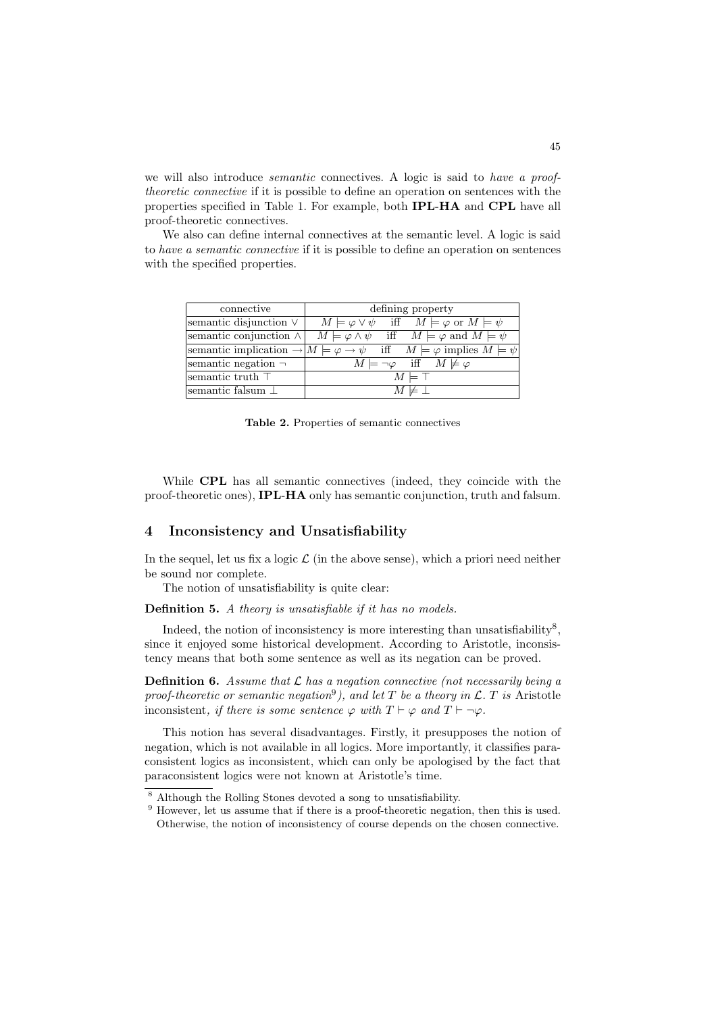we will also introduce *semantic* connectives. A logic is said to *have a proof*theoretic connective if it is possible to define an operation on sentences with the properties specified in Table 1. For example, both IPL-HA and CPL have all proof-theoretic connectives.

We also can define internal connectives at the semantic level. A logic is said to have a semantic connective if it is possible to define an operation on sentences with the specified properties.

| connective                    | defining property                                                                                                        |
|-------------------------------|--------------------------------------------------------------------------------------------------------------------------|
| semantic disjunction $\vee$   | $M \models \varphi \lor \psi$ iff $M \models \varphi$ or $M \models \psi$                                                |
| semantic conjunction $\wedge$ | $M \models \varphi \land \psi$ iff $M \models \varphi$ and $M \models \psi$                                              |
|                               | semantic implication $\rightarrow  M  \models \varphi \rightarrow \psi$ iff $M \models \varphi$ implies $M \models \psi$ |
| semantic negation $\neg$      | $M \models \neg \varphi$ iff $M \not\models \varphi$                                                                     |
| semantic truth $\top$         | $M \models \top$                                                                                                         |
| semantic falsum $\perp$       | $M \not\models \bot$                                                                                                     |

Table 2. Properties of semantic connectives

While CPL has all semantic connectives (indeed, they coincide with the proof-theoretic ones), IPL-HA only has semantic conjunction, truth and falsum.

#### 4 Inconsistency and Unsatisfiability

In the sequel, let us fix a logic  $\mathcal L$  (in the above sense), which a priori need neither be sound nor complete.

The notion of unsatisfiability is quite clear:

Definition 5. A theory is unsatisfiable if it has no models.

Indeed, the notion of inconsistency is more interesting than unsatisfiability<sup>8</sup>, since it enjoyed some historical development. According to Aristotle, inconsistency means that both some sentence as well as its negation can be proved.

**Definition 6.** Assume that  $\mathcal{L}$  has a negation connective (not necessarily being a proof-theoretic or semantic negation<sup>9</sup>), and let T be a theory in  $\mathcal{L}$ . T is Aristotle inconsistent, if there is some sentence  $\varphi$  with  $T \vdash \varphi$  and  $T \vdash \neg \varphi$ .

This notion has several disadvantages. Firstly, it presupposes the notion of negation, which is not available in all logics. More importantly, it classifies paraconsistent logics as inconsistent, which can only be apologised by the fact that paraconsistent logics were not known at Aristotle's time.

<sup>8</sup> Although the Rolling Stones devoted a song to unsatisfiability.

<sup>&</sup>lt;sup>9</sup> However, let us assume that if there is a proof-theoretic negation, then this is used. Otherwise, the notion of inconsistency of course depends on the chosen connective.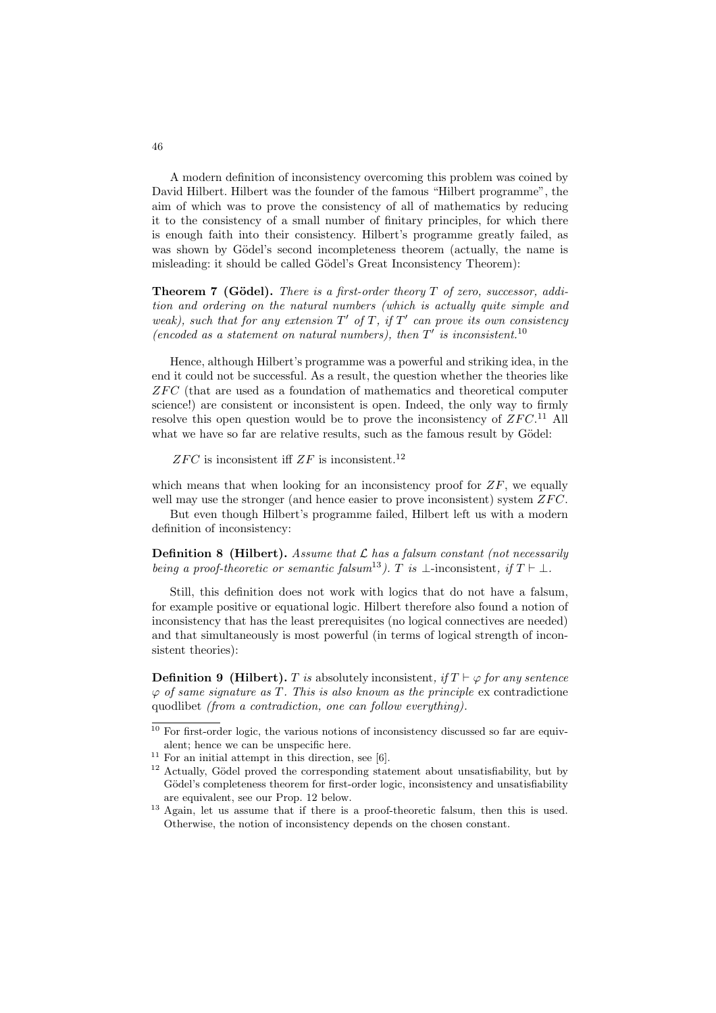A modern definition of inconsistency overcoming this problem was coined by David Hilbert. Hilbert was the founder of the famous "Hilbert programme", the aim of which was to prove the consistency of all of mathematics by reducing it to the consistency of a small number of finitary principles, for which there is enough faith into their consistency. Hilbert's programme greatly failed, as was shown by Gödel's second incompleteness theorem (actually, the name is misleading: it should be called Gödel's Great Inconsistency Theorem):

**Theorem 7 (Gödel).** There is a first-order theory  $T$  of zero, successor, addition and ordering on the natural numbers (which is actually quite simple and weak), such that for any extension  $T'$  of T, if  $T'$  can prove its own consistency (encoded as a statement on natural numbers), then  $T'$  is inconsistent.<sup>10</sup>

Hence, although Hilbert's programme was a powerful and striking idea, in the end it could not be successful. As a result, the question whether the theories like  $ZFC$  (that are used as a foundation of mathematics and theoretical computer science!) are consistent or inconsistent is open. Indeed, the only way to firmly resolve this open question would be to prove the inconsistency of  $ZFC$ .<sup>11</sup> All what we have so far are relative results, such as the famous result by Gödel:

 $ZFC$  is inconsistent iff  $ZF$  is inconsistent.<sup>12</sup>

which means that when looking for an inconsistency proof for  $ZF$ , we equally well may use the stronger (and hence easier to prove inconsistent) system  $ZFC$ .

But even though Hilbert's programme failed, Hilbert left us with a modern definition of inconsistency:

**Definition 8 (Hilbert).** Assume that  $\mathcal{L}$  has a falsum constant (not necessarily being a proof-theoretic or semantic falsum<sup>13</sup>). T is  $\bot$ -inconsistent, if  $T \vdash \bot$ .

Still, this definition does not work with logics that do not have a falsum, for example positive or equational logic. Hilbert therefore also found a notion of inconsistency that has the least prerequisites (no logical connectives are needed) and that simultaneously is most powerful (in terms of logical strength of inconsistent theories):

**Definition 9 (Hilbert).** T is absolutely inconsistent, if  $T \vdash \varphi$  for any sentence  $\varphi$  of same signature as T. This is also known as the principle ex contradictione quodlibet (from a contradiction, one can follow everything).

 $\frac{10}{10}$  For first-order logic, the various notions of inconsistency discussed so far are equivalent; hence we can be unspecific here.

<sup>&</sup>lt;sup>11</sup> For an initial attempt in this direction, see [6].

 $12$  Actually, Gödel proved the corresponding statement about unsatisfiability, but by Gödel's completeness theorem for first-order logic, inconsistency and unsatisfiability are equivalent, see our Prop. 12 below.

<sup>&</sup>lt;sup>13</sup> Again, let us assume that if there is a proof-theoretic falsum, then this is used. Otherwise, the notion of inconsistency depends on the chosen constant.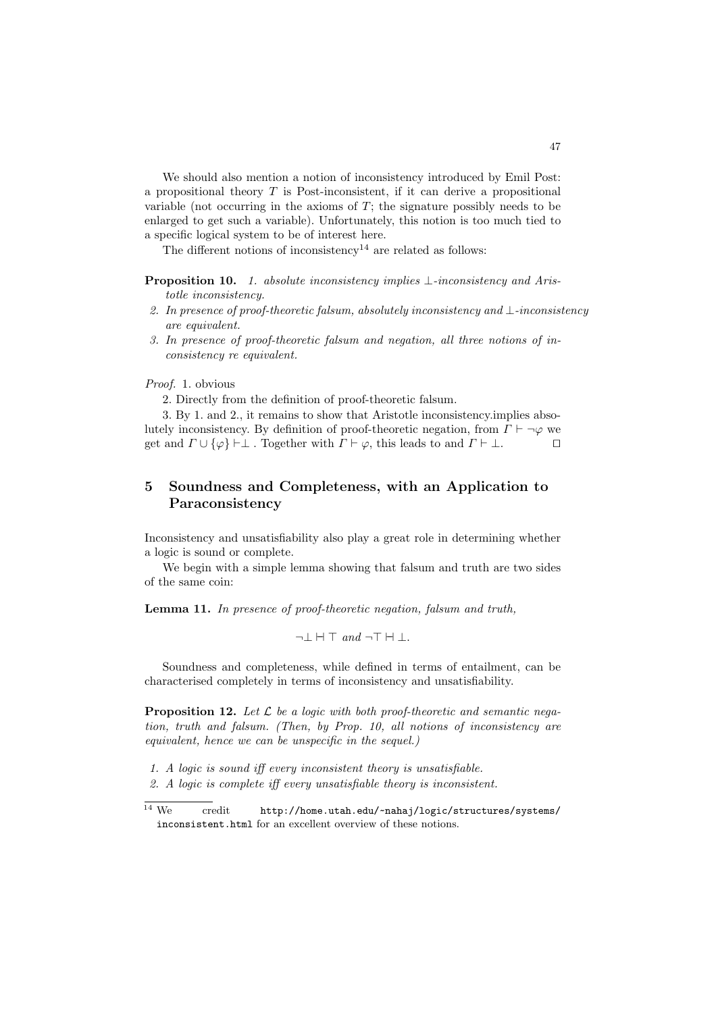We should also mention a notion of inconsistency introduced by Emil Post: a propositional theory  $T$  is Post-inconsistent, if it can derive a propositional variable (not occurring in the axioms of  $T$ ; the signature possibly needs to be enlarged to get such a variable). Unfortunately, this notion is too much tied to a specific logical system to be of interest here.

The different notions of inconsistency<sup>14</sup> are related as follows:

- Proposition 10. 1. absolute inconsistency implies ⊥-inconsistency and Aristotle inconsistency.
- 2. In presence of proof-theoretic falsum, absolutely inconsistency and ⊥-inconsistency are equivalent.
- 3. In presence of proof-theoretic falsum and negation, all three notions of inconsistency re equivalent.

Proof. 1. obvious

2. Directly from the definition of proof-theoretic falsum.

3. By 1. and 2., it remains to show that Aristotle inconsistency.implies absolutely inconsistency. By definition of proof-theoretic negation, from  $\Gamma \vdash \neg \varphi$  we get and  $\Gamma \sqcup \{\varphi\} \vdash \bot$  Together with  $\Gamma \vdash \varphi$ , this leads to and  $\Gamma \vdash \bot$ get and  $\Gamma \cup {\varphi} \vdash \bot$ . Together with  $\Gamma \vdash \varphi$ , this leads to and  $\Gamma \vdash \bot$ .

# 5 Soundness and Completeness, with an Application to Paraconsistency

Inconsistency and unsatisfiability also play a great role in determining whether a logic is sound or complete.

We begin with a simple lemma showing that falsum and truth are two sides of the same coin:

Lemma 11. In presence of proof-theoretic negation, falsum and truth,

 $\neg \bot \ \dashv \top \text{ and } \neg \top \ \vdash \bot.$ 

Soundness and completeness, while defined in terms of entailment, can be characterised completely in terms of inconsistency and unsatisfiability.

**Proposition 12.** Let  $\mathcal{L}$  be a logic with both proof-theoretic and semantic negation, truth and falsum. (Then, by Prop. 10, all notions of inconsistency are equivalent, hence we can be unspecific in the sequel.)

- 1. A logic is sound iff every inconsistent theory is unsatisfiable.
- 2. A logic is complete iff every unsatisfiable theory is inconsistent.

 $\overline{14 \text{ We }}$  credit http://home.utah.edu/~nahaj/logic/structures/systems/ inconsistent.html for an excellent overview of these notions.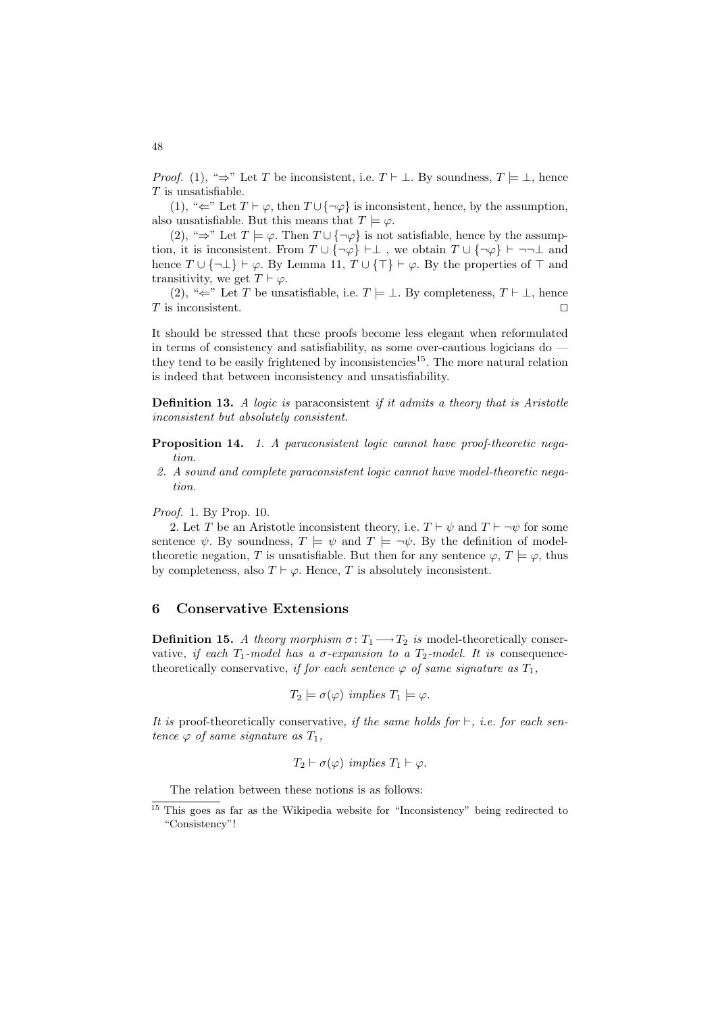*Proof.* (1), " $\Rightarrow$ " Let T be inconsistent, i.e.  $T \vdash \bot$ . By soundness,  $T \models \bot$ , hence  $T$  is unsatisfiable.

(1), " $\Leftarrow$ " Let  $T \vdash \varphi$ , then  $T \cup {\neg \varphi}$  is inconsistent, hence, by the assumption, also unsatisfiable. But this means that  $T \models \varphi$ .

(2), "⇒" Let  $T \models \varphi$ . Then  $T \cup {\neg \varphi}$  is not satisfiable, hence by the assumption, it is inconsistent. From  $T \cup {\neg \varphi} \vdash \bot$ , we obtain  $T \cup {\neg \varphi} \vdash \neg \neg \bot$  and hence  $T \cup \{\neg \bot\} \vdash \varphi$ . By Lemma 11,  $T \cup \{\top\} \vdash \varphi$ . By the properties of  $\top$  and transitivity, we get  $T \vdash \varphi$ .

(2), "∈" Let T be unsatisfiable, i.e.  $T \models \bot$ . By completeness,  $T \vdash \bot$ , hence s inconsistent.  $T$  is inconsistent.

It should be stressed that these proofs become less elegant when reformulated in terms of consistency and satisfiability, as some over-cautious logicians do they tend to be easily frightened by inconsistencies<sup>15</sup>. The more natural relation is indeed that between inconsistency and unsatisfiability.

**Definition 13.** A logic is paraconsistent if it admits a theory that is Aristotle inconsistent but absolutely consistent.

Proposition 14. 1. A paraconsistent logic cannot have proof-theoretic negation.

2. A sound and complete paraconsistent logic cannot have model-theoretic negation.

Proof. 1. By Prop. 10.

2. Let T be an Aristotle inconsistent theory, i.e.  $T \vdash \psi$  and  $T \vdash \neg \psi$  for some sentence  $\psi$ . By soundness,  $T \models \psi$  and  $T \models \neg \psi$ . By the definition of modeltheoretic negation, T is unsatisfiable. But then for any sentence  $\varphi, T \models \varphi$ , thus by completeness, also  $T \vdash \varphi$ . Hence, T is absolutely inconsistent.

#### 6 Conservative Extensions

**Definition 15.** A theory morphism  $\sigma: T_1 \longrightarrow T_2$  is model-theoretically conservative, if each  $T_1$ -model has a  $\sigma$ -expansion to a  $T_2$ -model. It is consequencetheoretically conservative, if for each sentence  $\varphi$  of same signature as  $T_1$ ,

$$
T_2 \models \sigma(\varphi) \ implies T_1 \models \varphi.
$$

It is proof-theoretically conservative, if the same holds for  $\vdash$ , i.e. for each sentence  $\varphi$  of same signature as  $T_1$ ,

$$
T_2 \vdash \sigma(\varphi) \ \ \text{implies} \ T_1 \vdash \varphi.
$$

The relation between these notions is as follows:

<sup>&</sup>lt;sup>15</sup> This goes as far as the Wikipedia website for "Inconsistency" being redirected to "Consistency"!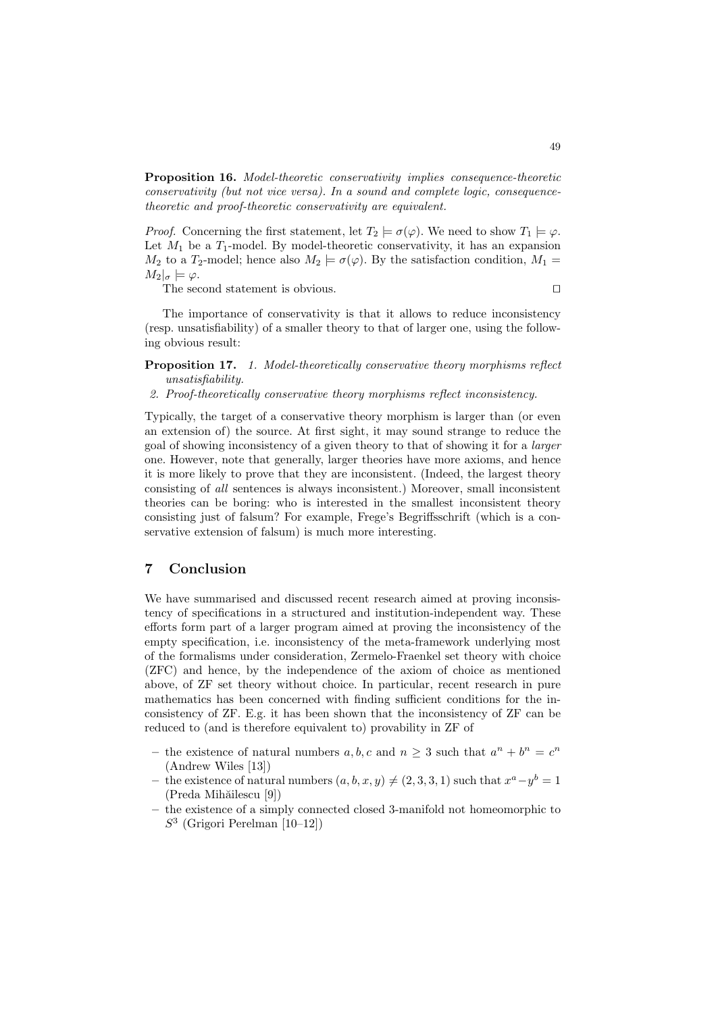Proposition 16. Model-theoretic conservativity implies consequence-theoretic conservativity (but not vice versa). In a sound and complete logic, consequencetheoretic and proof-theoretic conservativity are equivalent.

*Proof.* Concerning the first statement, let  $T_2 \models \sigma(\varphi)$ . We need to show  $T_1 \models \varphi$ . Let  $M_1$  be a  $T_1$ -model. By model-theoretic conservativity, it has an expansion  $M_2$  to a  $T_2$ -model; hence also  $M_2 \models \sigma(\varphi)$ . By the satisfaction condition,  $M_1 =$  $M_2|_\sigma \models \varphi.$ 

The second statement is obvious.  $\Box$ 

The importance of conservativity is that it allows to reduce inconsistency (resp. unsatisfiability) of a smaller theory to that of larger one, using the following obvious result:

- Proposition 17. 1. Model-theoretically conservative theory morphisms reflect unsatisfiability.
- 2. Proof-theoretically conservative theory morphisms reflect inconsistency.

Typically, the target of a conservative theory morphism is larger than (or even an extension of) the source. At first sight, it may sound strange to reduce the goal of showing inconsistency of a given theory to that of showing it for a larger one. However, note that generally, larger theories have more axioms, and hence it is more likely to prove that they are inconsistent. (Indeed, the largest theory consisting of all sentences is always inconsistent.) Moreover, small inconsistent theories can be boring: who is interested in the smallest inconsistent theory consisting just of falsum? For example, Frege's Begriffsschrift (which is a conservative extension of falsum) is much more interesting.

## 7 Conclusion

We have summarised and discussed recent research aimed at proving inconsistency of specifications in a structured and institution-independent way. These efforts form part of a larger program aimed at proving the inconsistency of the empty specification, i.e. inconsistency of the meta-framework underlying most of the formalisms under consideration, Zermelo-Fraenkel set theory with choice (ZFC) and hence, by the independence of the axiom of choice as mentioned above, of ZF set theory without choice. In particular, recent research in pure mathematics has been concerned with finding sufficient conditions for the inconsistency of ZF. E.g. it has been shown that the inconsistency of ZF can be reduced to (and is therefore equivalent to) provability in ZF of

- the existence of natural numbers  $a, b, c$  and  $n \geq 3$  such that  $a^n + b^n = c^n$ (Andrew Wiles [13])
- the existence of natural numbers  $(a, b, x, y) \neq (2, 3, 3, 1)$  such that  $x^a y^b = 1$ (Preda Mihăilescu [9])
- the existence of a simply connected closed 3-manifold not homeomorphic to  $S<sup>3</sup>$  (Grigori Perelman [10–12])